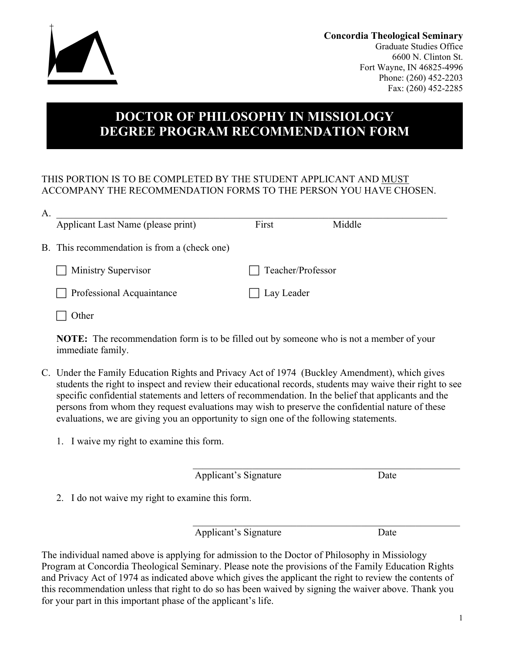

**Concordia Theological Seminary** Graduate Studies Office 6600 N. Clinton St. Fort Wayne, IN 46825-4996 Phone: (260) 452-2203 Fax: (260) 452-2285

## **DOCTOR OF PHILOSOPHY IN MISSIOLOGY DEGREE PROGRAM RECOMMENDATION FORM**

## THIS PORTION IS TO BE COMPLETED BY THE STUDENT APPLICANT AND MUST ACCOMPANY THE RECOMMENDATION FORMS TO THE PERSON YOU HAVE CHOSEN.

| A. |                                              |                   |        |
|----|----------------------------------------------|-------------------|--------|
|    | Applicant Last Name (please print)           | First             | Middle |
|    | B. This recommendation is from a (check one) |                   |        |
|    | Ministry Supervisor                          | Teacher/Professor |        |
|    | Professional Acquaintance                    | Lay Leader        |        |
|    | )ther                                        |                   |        |

**NOTE:** The recommendation form is to be filled out by someone who is not a member of your immediate family.

- C. Under the Family Education Rights and Privacy Act of 1974 (Buckley Amendment), which gives students the right to inspect and review their educational records, students may waive their right to see specific confidential statements and letters of recommendation. In the belief that applicants and the persons from whom they request evaluations may wish to preserve the confidential nature of these evaluations, we are giving you an opportunity to sign one of the following statements.
	- 1. I waive my right to examine this form.

Applicant's Signature Date

 $\mathcal{L}_\text{max}$  and the contract of the contract of the contract of the contract of the contract of the contract of the contract of the contract of the contract of the contract of the contract of the contract of the contrac

 $\mathcal{L}_\text{max}$  and the contract of the contract of the contract of the contract of the contract of the contract of the contract of the contract of the contract of the contract of the contract of the contract of the contrac

2. I do not waive my right to examine this form.

Applicant's Signature Date

The individual named above is applying for admission to the Doctor of Philosophy in Missiology Program at Concordia Theological Seminary. Please note the provisions of the Family Education Rights and Privacy Act of 1974 as indicated above which gives the applicant the right to review the contents of this recommendation unless that right to do so has been waived by signing the waiver above. Thank you for your part in this important phase of the applicant's life.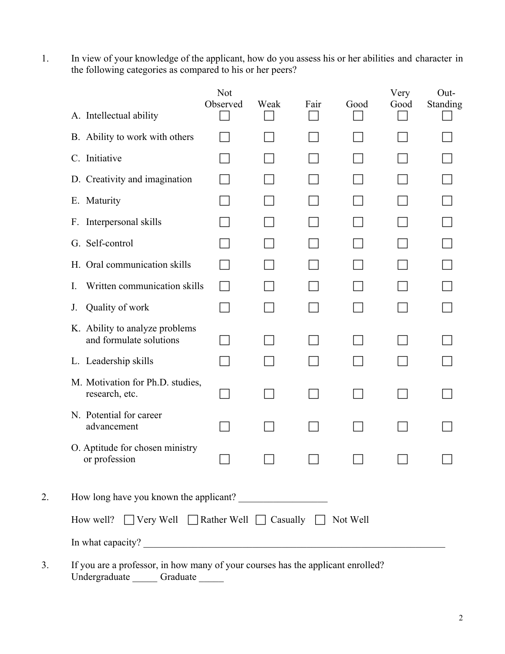1. In view of your knowledge of the applicant, how do you assess his or her abilities and character in the following categories as compared to his or her peers?

|    | A. Intellectual ability                                                 | <b>Not</b><br>Observed | Weak | Fair | Good     | Very<br>Good | Out-<br>Standing |
|----|-------------------------------------------------------------------------|------------------------|------|------|----------|--------------|------------------|
|    | B. Ability to work with others                                          |                        |      |      |          |              |                  |
|    | C. Initiative                                                           |                        |      |      |          |              |                  |
|    | D. Creativity and imagination                                           |                        |      |      |          |              |                  |
|    | E. Maturity                                                             |                        |      |      |          |              |                  |
|    | F. Interpersonal skills                                                 |                        |      |      |          |              |                  |
|    | G. Self-control                                                         |                        |      |      |          |              |                  |
|    | H. Oral communication skills                                            |                        |      |      |          |              |                  |
|    | Written communication skills<br>I.                                      |                        |      |      |          |              |                  |
|    | Quality of work<br>J.                                                   |                        |      |      |          |              |                  |
|    | K. Ability to analyze problems<br>and formulate solutions               |                        |      |      |          |              |                  |
|    | L. Leadership skills                                                    |                        |      |      |          |              |                  |
|    | M. Motivation for Ph.D. studies,<br>research, etc.                      |                        |      |      |          |              |                  |
|    | N. Potential for career<br>advancement                                  |                        |      |      |          |              |                  |
|    | O. Aptitude for chosen ministry<br>or profession                        |                        |      |      |          |              |                  |
| 2. |                                                                         |                        |      |      |          |              |                  |
|    | $\Box$ Very Well $\Box$ Rather Well $\Box$ Casually $\Box$<br>How well? |                        |      |      | Not Well |              |                  |
|    |                                                                         |                        |      |      |          |              |                  |
|    |                                                                         |                        |      |      |          |              |                  |

3. If you are a professor, in how many of your courses has the applicant enrolled? Undergraduate Graduate